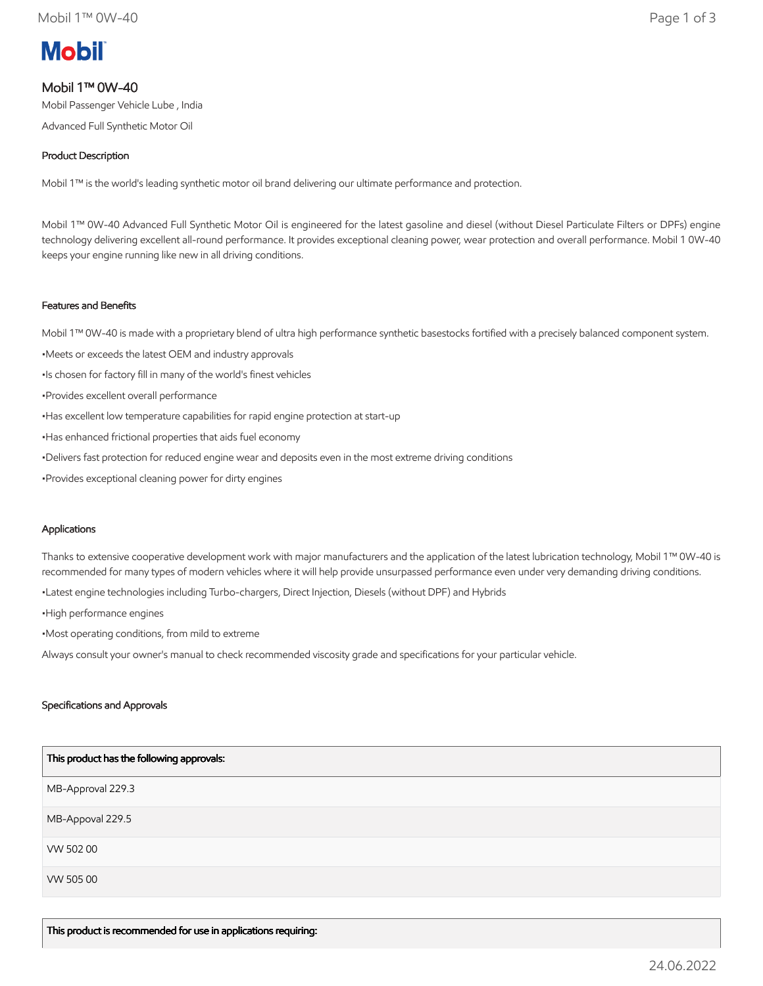# **Mobil**

# Mobil 1™ 0W-40

Mobil Passenger Vehicle Lube , India Advanced Full Synthetic Motor Oil

# Product Description

Mobil 1™ is the world's leading synthetic motor oil brand delivering our ultimate performance and protection.

Mobil 1™ 0W-40 Advanced Full Synthetic Motor Oil is engineered for the latest gasoline and diesel (without Diesel Particulate Filters or DPFs) engine technology delivering excellent all-round performance. It provides exceptional cleaning power, wear protection and overall performance. Mobil 1 0W-40 keeps your engine running like new in all driving conditions.

## Features and Benefits

Mobil 1™ 0W-40 is made with a proprietary blend of ultra high performance synthetic basestocks fortified with a precisely balanced component system.

- •Meets or exceeds the latest OEM and industry approvals
- •Is chosen for factory fill in many of the world's finest vehicles
- •Provides excellent overall performance
- •Has excellent low temperature capabilities for rapid engine protection at start-up
- •Has enhanced frictional properties that aids fuel economy
- •Delivers fast protection for reduced engine wear and deposits even in the most extreme driving conditions
- •Provides exceptional cleaning power for dirty engines

#### Applications

Thanks to extensive cooperative development work with major manufacturers and the application of the latest lubrication technology, Mobil 1™ 0W-40 is recommended for many types of modern vehicles where it will help provide unsurpassed performance even under very demanding driving conditions.

•Latest engine technologies including Turbo-chargers, Direct Injection, Diesels (without DPF) and Hybrids

•High performance engines

•Most operating conditions, from mild to extreme

Always consult your owner's manual to check recommended viscosity grade and specifications for your particular vehicle.

#### Specifications and Approvals

| This product has the following approvals: |
|-------------------------------------------|
| MB-Approval 229.3                         |
| MB-Appoval 229.5                          |
| VW 50200                                  |
| VW 505 00                                 |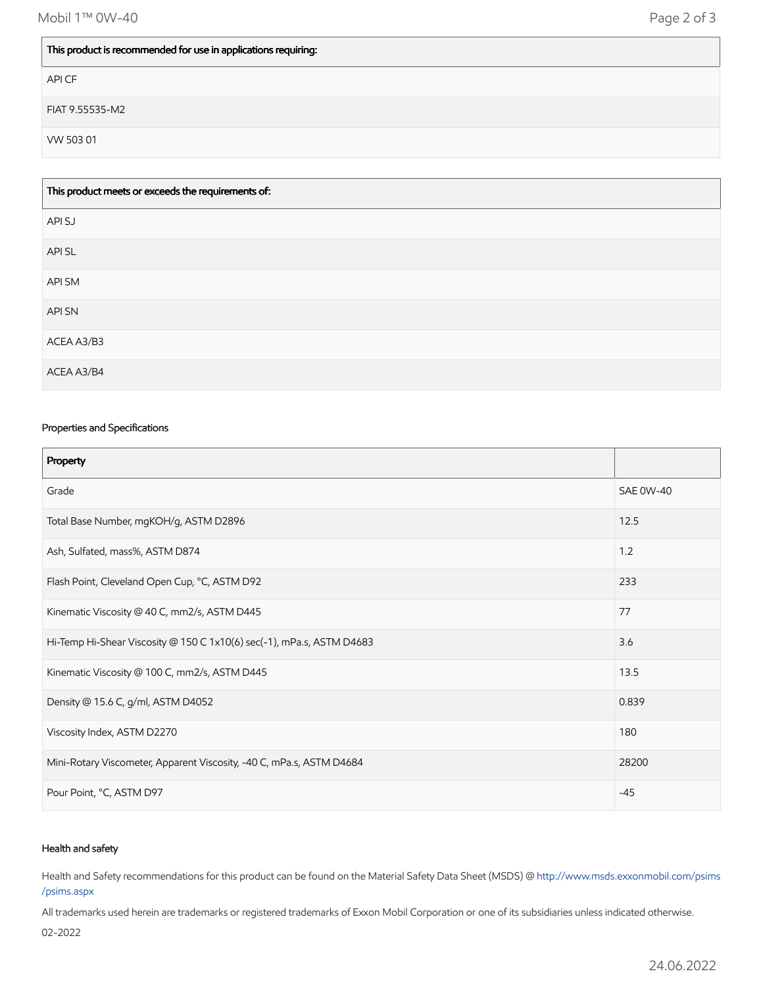### This product is recommended for use in applications requiring:

API CF

FIAT 9.55535-M2

VW 503 01

| This product meets or exceeds the requirements of: |
|----------------------------------------------------|
| API SJ                                             |
| API SL                                             |
| API SM                                             |
| <b>APISN</b>                                       |
| ACEA A3/B3                                         |
| ACEA A3/B4                                         |

#### Properties and Specifications

| Property                                                              |                  |
|-----------------------------------------------------------------------|------------------|
| Grade                                                                 | <b>SAE 0W-40</b> |
| Total Base Number, mgKOH/g, ASTM D2896                                | 12.5             |
| Ash, Sulfated, mass%, ASTM D874                                       | 1.2              |
| Flash Point, Cleveland Open Cup, °C, ASTM D92                         | 233              |
| Kinematic Viscosity @ 40 C, mm2/s, ASTM D445                          | 77               |
| Hi-Temp Hi-Shear Viscosity @ 150 C 1x10(6) sec(-1), mPa.s, ASTM D4683 | 3.6              |
| Kinematic Viscosity @ 100 C, mm2/s, ASTM D445                         | 13.5             |
| Density @ 15.6 C, g/ml, ASTM D4052                                    | 0.839            |
| Viscosity Index, ASTM D2270                                           | 180              |
| Mini-Rotary Viscometer, Apparent Viscosity, -40 C, mPa.s, ASTM D4684  | 28200            |
| Pour Point, °C, ASTM D97                                              | $-45$            |

#### Health and safety

Health and Safety recommendations for this product can be found on the Material Safety Data Sheet (MSDS) @ [http://www.msds.exxonmobil.com/psims](http://www.msds.exxonmobil.com/psims/psims.aspx) /psims.aspx

All trademarks used herein are trademarks or registered trademarks of Exxon Mobil Corporation or one of its subsidiaries unless indicated otherwise.

02-2022